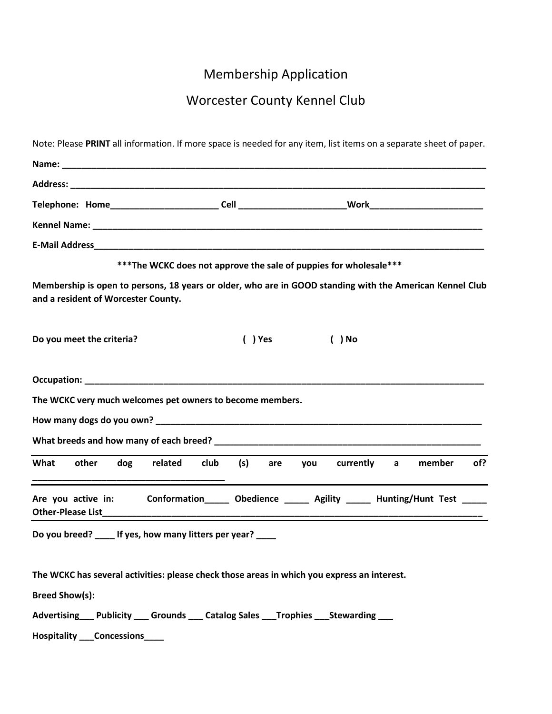## Membership Application

## Worcester County Kennel Club

|                                                                                             |                                                                    | Note: Please PRINT all information. If more space is needed for any item, list items on a separate sheet of paper. |
|---------------------------------------------------------------------------------------------|--------------------------------------------------------------------|--------------------------------------------------------------------------------------------------------------------|
|                                                                                             |                                                                    |                                                                                                                    |
|                                                                                             |                                                                    |                                                                                                                    |
|                                                                                             |                                                                    |                                                                                                                    |
|                                                                                             |                                                                    |                                                                                                                    |
|                                                                                             |                                                                    |                                                                                                                    |
|                                                                                             | *** The WCKC does not approve the sale of puppies for wholesale*** |                                                                                                                    |
| and a resident of Worcester County.                                                         |                                                                    | Membership is open to persons, 18 years or older, who are in GOOD standing with the American Kennel Club           |
| Do you meet the criteria?                                                                   | ( ) Yes                                                            | $( )$ No                                                                                                           |
|                                                                                             |                                                                    |                                                                                                                    |
| The WCKC very much welcomes pet owners to become members.                                   |                                                                    |                                                                                                                    |
|                                                                                             |                                                                    |                                                                                                                    |
|                                                                                             |                                                                    |                                                                                                                    |
| other<br>What<br>dog<br>related                                                             | club<br>(s)<br>are                                                 | currently<br>member<br>of?<br>you<br>$\mathsf{a}$                                                                  |
| Are you active in:                                                                          |                                                                    | Conformation______ Obedience ______ Agility ______ Hunting/Hunt Test _____                                         |
| Do you breed? ____ If yes, how many litters per year? ____                                  |                                                                    |                                                                                                                    |
| The WCKC has several activities: please check those areas in which you express an interest. |                                                                    |                                                                                                                    |
| <b>Breed Show(s):</b>                                                                       |                                                                    |                                                                                                                    |
| Advertising Publicity Grounds Catalog Sales Trophies Stewarding                             |                                                                    |                                                                                                                    |
| Hospitality ____ Concessions_____                                                           |                                                                    |                                                                                                                    |